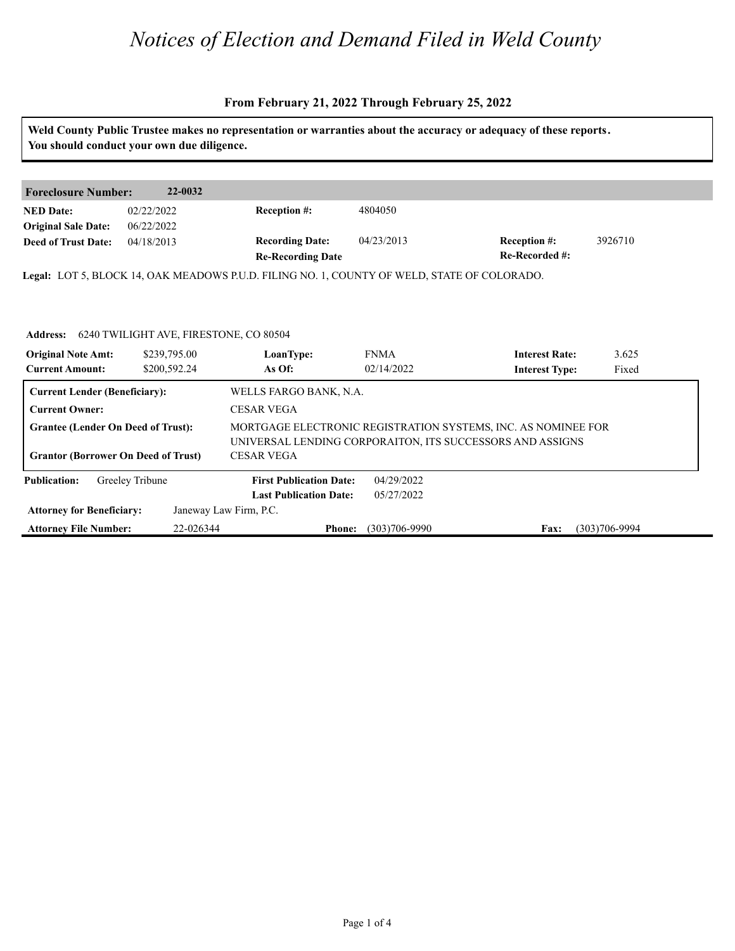### **From February 21, 2022 Through February 25, 2022**

| 22-0032<br>Reception #:<br>4804050<br>02/22/2022<br>06/22/2022<br><b>Recording Date:</b><br>04/23/2013<br>Reception #:<br>04/18/2013<br>Re-Recorded #:<br><b>Re-Recording Date</b><br>6240 TWILIGHT AVE, FIRESTONE, CO 80504<br><b>FNMA</b><br><b>Interest Rate:</b><br>\$239,795.00<br>LoanType:<br>As Of:<br>02/14/2022<br>\$200,592.24<br><b>Interest Type:</b><br>WELLS FARGO BANK, N.A.<br><b>CESAR VEGA</b><br>MORTGAGE ELECTRONIC REGISTRATION SYSTEMS, INC. AS NOMINEE FOR<br>UNIVERSAL LENDING CORPORAITON, ITS SUCCESSORS AND ASSIGNS<br><b>CESAR VEGA</b><br>04/29/2022<br>Greeley Tribune<br><b>First Publication Date:</b><br><b>Last Publication Date:</b><br>05/27/2022<br>Janeway Law Firm, P.C. |                                                | You should conduct your own due diligence. |  |  | Weld County Public Trustee makes no representation or warranties about the accuracy or adequacy of these reports. |         |  |
|------------------------------------------------------------------------------------------------------------------------------------------------------------------------------------------------------------------------------------------------------------------------------------------------------------------------------------------------------------------------------------------------------------------------------------------------------------------------------------------------------------------------------------------------------------------------------------------------------------------------------------------------------------------------------------------------------------------|------------------------------------------------|--------------------------------------------|--|--|-------------------------------------------------------------------------------------------------------------------|---------|--|
| <b>Foreclosure Number:</b>                                                                                                                                                                                                                                                                                                                                                                                                                                                                                                                                                                                                                                                                                       |                                                |                                            |  |  |                                                                                                                   |         |  |
|                                                                                                                                                                                                                                                                                                                                                                                                                                                                                                                                                                                                                                                                                                                  |                                                |                                            |  |  |                                                                                                                   |         |  |
| <b>Deed of Trust Date:</b><br>Legal: LOT 5, BLOCK 14, OAK MEADOWS P.U.D. FILING NO. 1, COUNTY OF WELD, STATE OF COLORADO.<br><b>Current Lender (Beneficiary):</b><br><b>Current Owner:</b><br><b>Grantee (Lender On Deed of Trust):</b><br><b>Grantor (Borrower On Deed of Trust)</b>                                                                                                                                                                                                                                                                                                                                                                                                                            | <b>NED</b> Date:<br><b>Original Sale Date:</b> |                                            |  |  |                                                                                                                   |         |  |
|                                                                                                                                                                                                                                                                                                                                                                                                                                                                                                                                                                                                                                                                                                                  |                                                |                                            |  |  |                                                                                                                   | 3926710 |  |
|                                                                                                                                                                                                                                                                                                                                                                                                                                                                                                                                                                                                                                                                                                                  |                                                |                                            |  |  |                                                                                                                   |         |  |
|                                                                                                                                                                                                                                                                                                                                                                                                                                                                                                                                                                                                                                                                                                                  | <b>Address:</b>                                |                                            |  |  |                                                                                                                   |         |  |
| <b>Current Amount:</b><br><b>Attorney for Beneficiary:</b>                                                                                                                                                                                                                                                                                                                                                                                                                                                                                                                                                                                                                                                       | <b>Original Note Amt:</b>                      |                                            |  |  |                                                                                                                   | 3.625   |  |
|                                                                                                                                                                                                                                                                                                                                                                                                                                                                                                                                                                                                                                                                                                                  |                                                |                                            |  |  |                                                                                                                   | Fixed   |  |
|                                                                                                                                                                                                                                                                                                                                                                                                                                                                                                                                                                                                                                                                                                                  |                                                |                                            |  |  |                                                                                                                   |         |  |
|                                                                                                                                                                                                                                                                                                                                                                                                                                                                                                                                                                                                                                                                                                                  |                                                |                                            |  |  |                                                                                                                   |         |  |
|                                                                                                                                                                                                                                                                                                                                                                                                                                                                                                                                                                                                                                                                                                                  |                                                |                                            |  |  |                                                                                                                   |         |  |
|                                                                                                                                                                                                                                                                                                                                                                                                                                                                                                                                                                                                                                                                                                                  |                                                |                                            |  |  |                                                                                                                   |         |  |
|                                                                                                                                                                                                                                                                                                                                                                                                                                                                                                                                                                                                                                                                                                                  | <b>Publication:</b>                            |                                            |  |  |                                                                                                                   |         |  |
|                                                                                                                                                                                                                                                                                                                                                                                                                                                                                                                                                                                                                                                                                                                  |                                                |                                            |  |  |                                                                                                                   |         |  |
| <b>Attorney File Number:</b><br>22-026344<br>$(303)706 - 9990$<br>$(303)706 - 9994$<br>Fax:<br><b>Phone:</b>                                                                                                                                                                                                                                                                                                                                                                                                                                                                                                                                                                                                     |                                                |                                            |  |  |                                                                                                                   |         |  |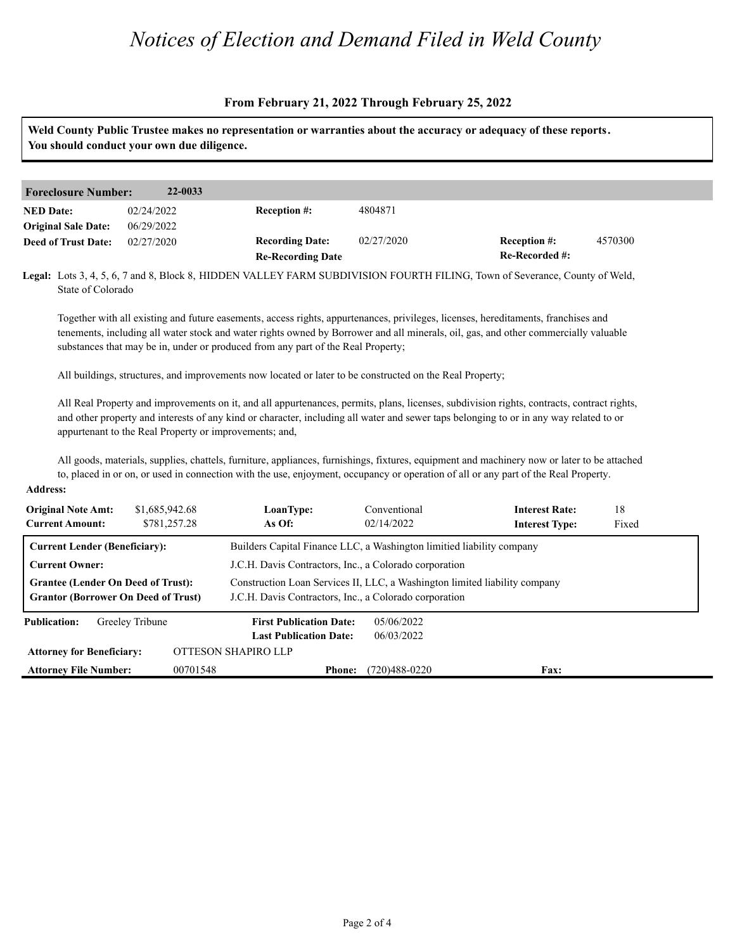### **From February 21, 2022 Through February 25, 2022**

**Weld County Public Trustee makes no representation or warranties about the accuracy or adequacy of these reports. You should conduct your own due diligence.**

| 22-0033<br><b>Foreclosure Number:</b> |            |                          |            |                       |         |  |
|---------------------------------------|------------|--------------------------|------------|-----------------------|---------|--|
| <b>NED Date:</b>                      | 02/24/2022 | <b>Reception #:</b>      | 4804871    |                       |         |  |
| <b>Original Sale Date:</b>            | 06/29/2022 |                          |            |                       |         |  |
| <b>Deed of Trust Date:</b>            | 02/27/2020 | <b>Recording Date:</b>   | 02/27/2020 | <b>Reception #:</b>   | 4570300 |  |
|                                       |            | <b>Re-Recording Date</b> |            | <b>Re-Recorded #:</b> |         |  |

**Legal:** Lots 3, 4, 5, 6, 7 and 8, Block 8, HIDDEN VALLEY FARM SUBDIVISION FOURTH FILING, Town of Severance, County of Weld, State of Colorado

Together with all existing and future easements, access rights, appurtenances, privileges, licenses, hereditaments, franchises and tenements, including all water stock and water rights owned by Borrower and all minerals, oil, gas, and other commercially valuable substances that may be in, under or produced from any part of the Real Property;

All buildings, structures, and improvements now located or later to be constructed on the Real Property;

All Real Property and improvements on it, and all appurtenances, permits, plans, licenses, subdivision rights, contracts, contract rights, and other property and interests of any kind or character, including all water and sewer taps belonging to or in any way related to or appurtenant to the Real Property or improvements; and,

All goods, materials, supplies, chattels, furniture, appliances, furnishings, fixtures, equipment and machinery now or later to be attached to, placed in or on, or used in connection with the use, enjoyment, occupancy or operation of all or any part of the Real Property.

#### **Address:**

| <b>Original Note Amt:</b><br><b>Current Amount:</b>                                     | \$1,685,942.68<br>\$781,257.28 | LoanType:<br>As Of:                                                                                                                  | Conventional<br>02/14/2022 | <b>Interest Rate:</b><br><b>Interest Type:</b> | 18<br>Fixed |  |
|-----------------------------------------------------------------------------------------|--------------------------------|--------------------------------------------------------------------------------------------------------------------------------------|----------------------------|------------------------------------------------|-------------|--|
| <b>Current Lender (Beneficiary):</b>                                                    |                                | Builders Capital Finance LLC, a Washington limitied liability company                                                                |                            |                                                |             |  |
| <b>Current Owner:</b>                                                                   |                                | J.C.H. Davis Contractors, Inc., a Colorado corporation                                                                               |                            |                                                |             |  |
| <b>Grantee (Lender On Deed of Trust):</b><br><b>Grantor (Borrower On Deed of Trust)</b> |                                | Construction Loan Services II, LLC, a Washington limited liability company<br>J.C.H. Davis Contractors, Inc., a Colorado corporation |                            |                                                |             |  |
| <b>Publication:</b>                                                                     | Greeley Tribune                | <b>First Publication Date:</b>                                                                                                       | 05/06/2022                 |                                                |             |  |
|                                                                                         |                                | <b>Last Publication Date:</b>                                                                                                        | 06/03/2022                 |                                                |             |  |
| <b>Attorney for Beneficiary:</b>                                                        |                                | OTTESON SHAPIRO LLP                                                                                                                  |                            |                                                |             |  |
| <b>Attorney File Number:</b>                                                            | 00701548                       | <b>Phone:</b>                                                                                                                        | $(720)488 - 0220$          | <b>Fax:</b>                                    |             |  |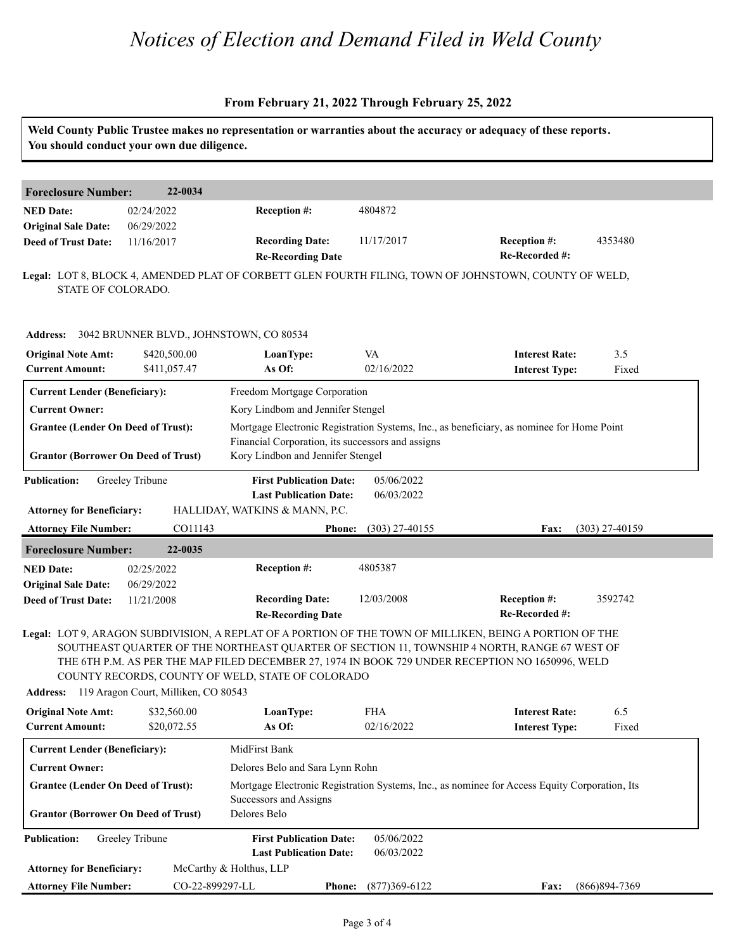### **From February 21, 2022 Through February 25, 2022**

|                                                                                         | You should conduct your own due diligence. |                                                                                                                                         |                          | Weld County Public Trustee makes no representation or warranties about the accuracy or adequacy of these reports.                                                                                                                                                                                           |                  |  |
|-----------------------------------------------------------------------------------------|--------------------------------------------|-----------------------------------------------------------------------------------------------------------------------------------------|--------------------------|-------------------------------------------------------------------------------------------------------------------------------------------------------------------------------------------------------------------------------------------------------------------------------------------------------------|------------------|--|
| <b>Foreclosure Number:</b>                                                              | 22-0034                                    |                                                                                                                                         |                          |                                                                                                                                                                                                                                                                                                             |                  |  |
| <b>NED Date:</b><br><b>Original Sale Date:</b>                                          | 02/24/2022<br>06/29/2022                   | <b>Reception #:</b>                                                                                                                     | 4804872                  |                                                                                                                                                                                                                                                                                                             |                  |  |
| <b>Deed of Trust Date:</b>                                                              | 11/16/2017                                 | <b>Recording Date:</b><br><b>Re-Recording Date</b>                                                                                      | 11/17/2017               | <b>Reception #:</b><br>Re-Recorded #:                                                                                                                                                                                                                                                                       | 4353480          |  |
| STATE OF COLORADO.                                                                      |                                            |                                                                                                                                         |                          | Legal: LOT 8, BLOCK 4, AMENDED PLAT OF CORBETT GLEN FOURTH FILING, TOWN OF JOHNSTOWN, COUNTY OF WELD,                                                                                                                                                                                                       |                  |  |
| Address: 3042 BRUNNER BLVD., JOHNSTOWN, CO 80534                                        |                                            |                                                                                                                                         |                          |                                                                                                                                                                                                                                                                                                             |                  |  |
| <b>Original Note Amt:</b><br><b>Current Amount:</b>                                     | \$420,500.00<br>\$411,057.47               | LoanType:<br>As Of:                                                                                                                     | VA<br>02/16/2022         | <b>Interest Rate:</b><br><b>Interest Type:</b>                                                                                                                                                                                                                                                              | 3.5<br>Fixed     |  |
| <b>Current Lender (Beneficiary):</b>                                                    |                                            | Freedom Mortgage Corporation                                                                                                            |                          |                                                                                                                                                                                                                                                                                                             |                  |  |
| <b>Current Owner:</b>                                                                   |                                            | Kory Lindbom and Jennifer Stengel                                                                                                       |                          |                                                                                                                                                                                                                                                                                                             |                  |  |
| <b>Grantee (Lender On Deed of Trust):</b><br><b>Grantor (Borrower On Deed of Trust)</b> |                                            | Financial Corporation, its successors and assigns<br>Kory Lindbon and Jennifer Stengel                                                  |                          | Mortgage Electronic Registration Systems, Inc., as beneficiary, as nominee for Home Point                                                                                                                                                                                                                   |                  |  |
| <b>Publication:</b><br><b>Attorney for Beneficiary:</b>                                 | Greeley Tribune                            | <b>First Publication Date:</b><br><b>Last Publication Date:</b><br>HALLIDAY, WATKINS & MANN, P.C.                                       | 05/06/2022<br>06/03/2022 |                                                                                                                                                                                                                                                                                                             |                  |  |
| <b>Attorney File Number:</b>                                                            | CO11143                                    | <b>Phone:</b>                                                                                                                           | $(303)$ 27-40155         | Fax:                                                                                                                                                                                                                                                                                                        | $(303)$ 27-40159 |  |
| <b>Foreclosure Number:</b>                                                              | 22-0035                                    |                                                                                                                                         |                          |                                                                                                                                                                                                                                                                                                             |                  |  |
| <b>NED Date:</b>                                                                        | 02/25/2022                                 | Reception #:                                                                                                                            | 4805387                  |                                                                                                                                                                                                                                                                                                             |                  |  |
| <b>Original Sale Date:</b><br><b>Deed of Trust Date:</b>                                | 06/29/2022<br>11/21/2008                   | <b>Recording Date:</b><br><b>Re-Recording Date</b>                                                                                      | 12/03/2008               | <b>Reception #:</b><br>Re-Recorded #:                                                                                                                                                                                                                                                                       | 3592742          |  |
| Address: 119 Aragon Court, Milliken, CO 80543                                           |                                            | COUNTY RECORDS, COUNTY OF WELD, STATE OF COLORADO                                                                                       |                          | Legal: LOT 9, ARAGON SUBDIVISION, A REPLAT OF A PORTION OF THE TOWN OF MILLIKEN, BEING A PORTION OF THE<br>SOUTHEAST QUARTER OF THE NORTHEAST QUARTER OF SECTION 11, TOWNSHIP 4 NORTH, RANGE 67 WEST OF<br>THE 6TH P.M. AS PER THE MAP FILED DECEMBER 27, 1974 IN BOOK 729 UNDER RECEPTION NO 1650996, WELD |                  |  |
| <b>Original Note Amt:</b>                                                               | \$32,560.00                                | LoanType:                                                                                                                               | <b>FHA</b>               | <b>Interest Rate:</b>                                                                                                                                                                                                                                                                                       | 6.5              |  |
| <b>Current Amount:</b>                                                                  | \$20,072.55                                | As Of:                                                                                                                                  | 02/16/2022               | <b>Interest Type:</b>                                                                                                                                                                                                                                                                                       | Fixed            |  |
| <b>Current Lender (Beneficiary):</b>                                                    |                                            | MidFirst Bank                                                                                                                           |                          |                                                                                                                                                                                                                                                                                                             |                  |  |
| <b>Current Owner:</b>                                                                   |                                            | Delores Belo and Sara Lynn Rohn                                                                                                         |                          |                                                                                                                                                                                                                                                                                                             |                  |  |
| <b>Grantee (Lender On Deed of Trust):</b><br><b>Grantor (Borrower On Deed of Trust)</b> |                                            | Mortgage Electronic Registration Systems, Inc., as nominee for Access Equity Corporation, Its<br>Successors and Assigns<br>Delores Belo |                          |                                                                                                                                                                                                                                                                                                             |                  |  |
| <b>Publication:</b>                                                                     | Greeley Tribune                            | <b>First Publication Date:</b><br><b>Last Publication Date:</b>                                                                         | 05/06/2022<br>06/03/2022 |                                                                                                                                                                                                                                                                                                             |                  |  |
| <b>Attorney for Beneficiary:</b>                                                        |                                            | McCarthy & Holthus, LLP                                                                                                                 |                          |                                                                                                                                                                                                                                                                                                             |                  |  |
| <b>Attorney File Number:</b>                                                            | CO-22-899297-LL                            | <b>Phone:</b>                                                                                                                           | $(877)369 - 6122$        | Fax:                                                                                                                                                                                                                                                                                                        | $(866)894-7369$  |  |